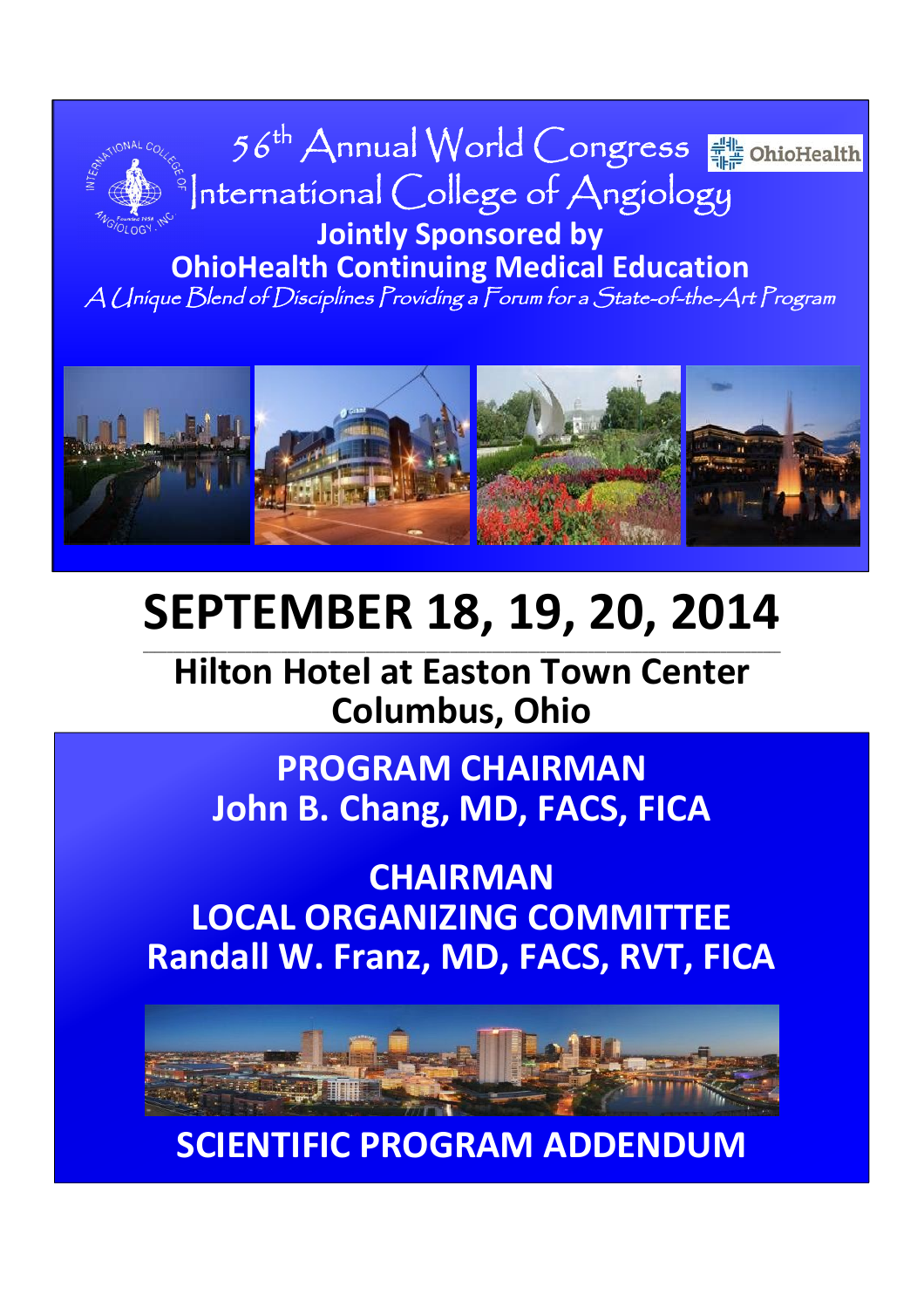

**OhioHealth Continuing Medical Education**

A Unique Blend of Disciplines Providing <sup>a</sup> Forum for <sup>a</sup> State-of-the-Art Program



# **SEPTEMBER 18, 19, 20, 2014**

\_\_\_\_\_\_\_\_\_\_\_\_\_\_\_\_\_\_\_\_\_\_\_\_\_\_\_\_\_\_\_\_\_\_\_\_\_\_\_\_\_\_\_\_\_\_\_\_\_\_\_\_\_\_\_\_\_\_\_\_\_\_\_\_\_\_\_\_\_\_\_\_\_\_\_\_\_\_\_\_\_\_\_\_\_\_\_\_\_\_\_\_\_\_\_\_\_\_\_\_\_\_\_\_\_\_

**Hilton Hotel at Easton Town Center Columbus, Ohio**

**PROGRAM CHAIRMAN John B. Chang, MD, FACS, FICA**

## **CHAIRMAN LOCAL ORGANIZING COMMITTEE Randall W. Franz, MD, FACS, RVT, FICA**



**SCIENTIFIC PROGRAM ADDENDUM**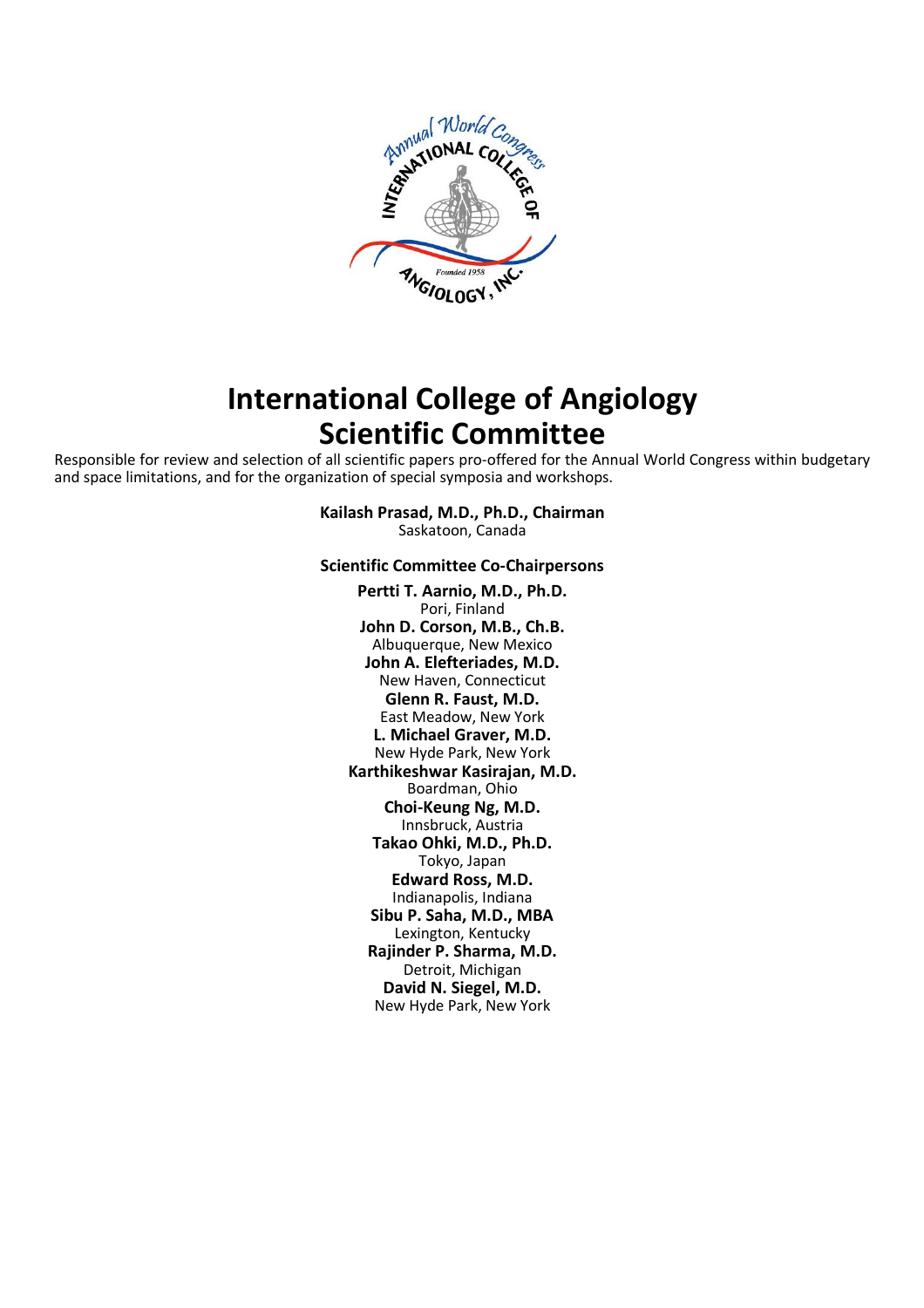

## **International College of Angiology Scientific Committee**

Responsible for review and selection of all scientific papers pro-offered for the Annual World Congress within budgetary and space limitations, and for the organization of special symposia and workshops.

> **Kailash Prasad, M.D., Ph.D., Chairman** Saskatoon, Canada

#### **Scientific Committee Co-Chairpersons**

**Pertti T. Aarnio, M.D., Ph.D.** Pori, Finland **John D. Corson, M.B., Ch.B.** Albuquerque, New Mexico **John A. Elefteriades, M.D.** New Haven, Connecticut **Glenn R. Faust, M.D.** East Meadow, New York **L. Michael Graver, M.D.** New Hyde Park, New York **Karthikeshwar Kasirajan, M.D.** Boardman, Ohio **Choi-Keung Ng, M.D.** Innsbruck, Austria **Takao Ohki, M.D., Ph.D.** Tokyo, Japan **Edward Ross, M.D.** Indianapolis, Indiana **Sibu P. Saha, M.D., MBA** Lexington, Kentucky **Rajinder P. Sharma, M.D.** Detroit, Michigan **David N. Siegel, M.D.** New Hyde Park, New York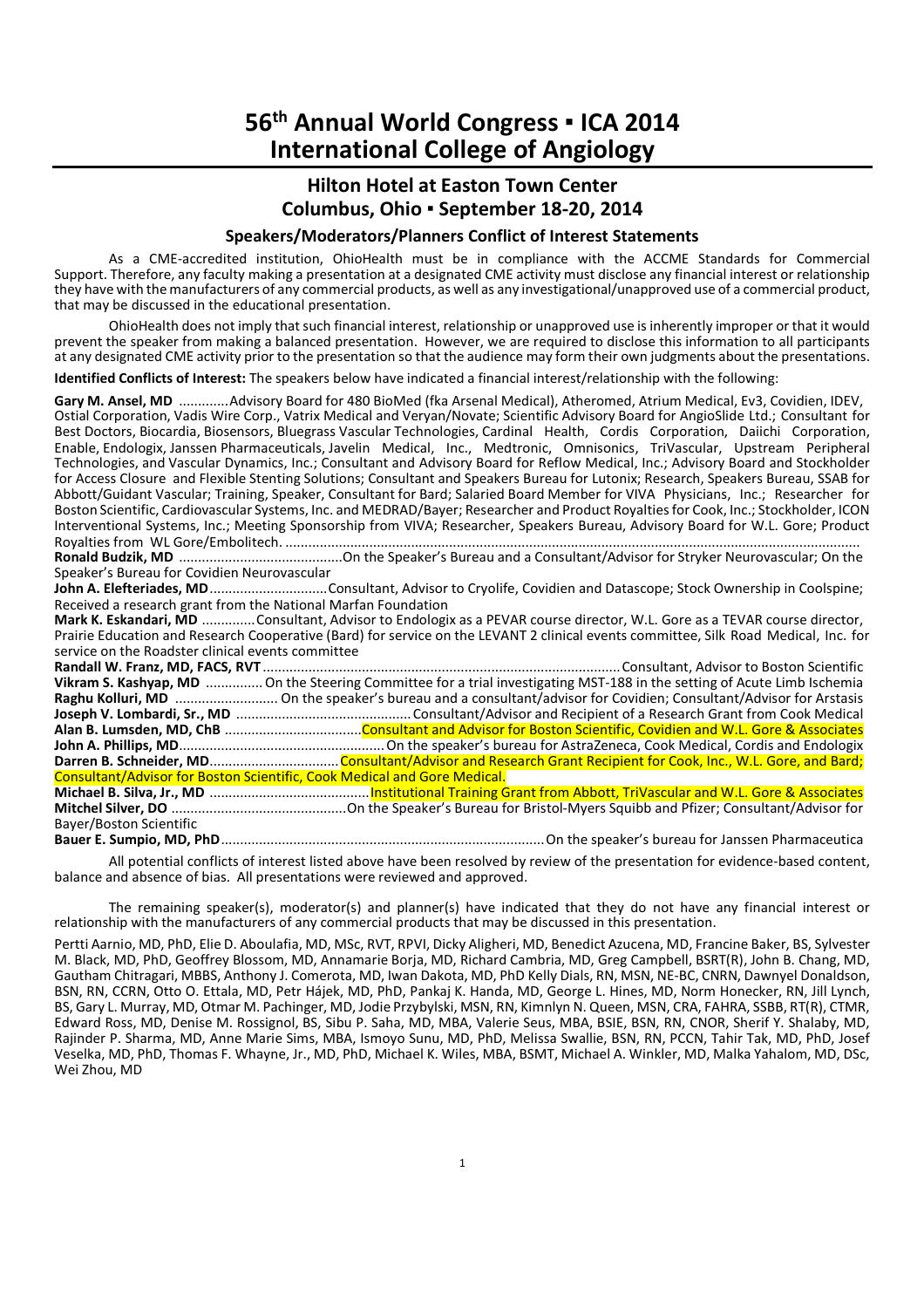## **Hilton Hotel at Easton Town Center Columbus, Ohio ▪ September 18-20, 2014**

#### **Speakers/Moderators/Planners Conflict of Interest Statements**

As a CME-accredited institution, OhioHealth must be in compliance with the ACCME Standards for Commercial Support. Therefore, any faculty making a presentation at a designated CME activity must disclose any financial interest or relationship they have with the manufacturers of any commercial products, as well as any investigational/unapproved use of a commercial product, that may be discussed in the educational presentation.

OhioHealth does not imply that such financial interest, relationship or unapproved use is inherently improper or that it would prevent the speaker from making a balanced presentation. However, we are required to disclose this information to all participants at any designated CME activity prior to the presentation so that the audience may form their own judgments about the presentations.

**Identified Conflicts of Interest:** The speakers below have indicated a financial interest/relationship with the following:

**Gary M. Ansel, MD** .............Advisory Board for 480 BioMed (fka Arsenal Medical), Atheromed, Atrium Medical, Ev3, Covidien, IDEV, Ostial Corporation, Vadis Wire Corp., Vatrix Medical and Veryan/Novate; Scientific Advisory Board for AngioSlide Ltd.; Consultant for Best Doctors, Biocardia, Biosensors, Bluegrass Vascular Technologies, Cardinal Health, Cordis Corporation, Daiichi Corporation, Enable, Endologix, Janssen Pharmaceuticals, Javelin Medical, Inc., Medtronic, Omnisonics, TriVascular, Upstream Peripheral Technologies, and Vascular Dynamics, Inc.; Consultant and Advisory Board for Reflow Medical, Inc.; Advisory Board and Stockholder for Access Closure and Flexible Stenting Solutions; Consultant and Speakers Bureau for Lutonix; Research, Speakers Bureau, SSAB for Abbott/Guidant Vascular; Training, Speaker, Consultant for Bard; Salaried Board Member for VIVA Physicians, Inc.; Researcher for Boston Scientific, Cardiovascular Systems, Inc. and MEDRAD/Bayer; Researcher and Product Royalties for Cook, Inc.; Stockholder, ICON Interventional Systems, Inc.; Meeting Sponsorship from VIVA; Researcher, Speakers Bureau, Advisory Board for W.L. Gore; Product Royalties from WL Gore/Embolitech. ....................................................................................................................................................... **Ronald Budzik, MD** ...........................................On the Speaker's Bureau and a Consultant/Advisor for Stryker Neurovascular; On the Speaker's Bureau for Covidien Neurovascular John A. Elefteriades, MD................................Consultant, Advisor to Cryolife, Covidien and Datascope; Stock Ownership in Coolspine; Received a research grant from the National Marfan Foundation **Mark K. Eskandari, MD** ..............Consultant, Advisor to Endologix as a PEVAR course director, W.L. Gore as a TEVAR course director, Prairie Education and Research Cooperative (Bard) for service on the LEVANT 2 clinical events committee, Silk Road Medical, Inc. for service on the Roadster clinical events committee

**Randall W. Franz, MD, FACS, RVT** ..............................................................................................Consultant, Advisor to Boston Scientific **Vikram S. Kashyap, MD** ............... On the Steering Committee for a trial investigating MST-188 in the setting of Acute Limb Ischemia Raghu Kolluri, MD .............................. On the speaker's bureau and a consultant/advisor for Covidien; Consultant/Advisor for Arstasis **Joseph V. Lombardi, Sr., MD** .............................................. Consultant/Advisor and Recipient of a Research Grant from Cook Medical **Alan B. Lumsden, MD, ChB** ....................................Consultant and Advisor for Boston Scientific, Covidien and W.L. Gore & Associates **John A. Phillips, MD**...................................................... On the speaker's bureau for AstraZeneca, Cook Medical, Cordis and Endologix Darren B. Schneider, MD...............................Consultant/Advisor and Research Grant Recipient for Cook, Inc., W.L. Gore, and Bard; Consultant/Advisor for Boston Scientific, Cook Medical and Gore Medical. **Michael B. Silva, Jr., MD** ..........................................Institutional Training Grant from Abbott, TriVascular and W.L. Gore & Associates **Mitchel Silver, DO** ..............................................On the Speaker's Bureau for Bristol-Myers Squibb and Pfizer; Consultant/Advisor for Bayer/Boston Scientific **Bauer E. Sumpio, MD, PhD**.....................................................................................On the speaker's bureau for Janssen Pharmaceutica

All potential conflicts of interest listed above have been resolved by review of the presentation for evidence-based content, balance and absence of bias. All presentations were reviewed and approved.

The remaining speaker(s), moderator(s) and planner(s) have indicated that they do not have any financial interest or relationship with the manufacturers of any commercial products that may be discussed in this presentation.

Pertti Aarnio, MD, PhD, Elie D. Aboulafia, MD, MSc, RVT, RPVI, Dicky Aligheri, MD, Benedict Azucena, MD, Francine Baker, BS, Sylvester M. Black, MD, PhD, Geoffrey Blossom, MD, Annamarie Borja, MD, Richard Cambria, MD, Greg Campbell, BSRT(R), John B. Chang, MD, Gautham Chitragari, MBBS, Anthony J. Comerota, MD, Iwan Dakota, MD, PhD Kelly Dials, RN, MSN, NE-BC, CNRN, Dawnyel Donaldson, BSN, RN, CCRN, Otto O. Ettala, MD, Petr Hájek, MD, PhD, Pankaj K. Handa, MD, George L. Hines, MD, Norm Honecker, RN, Jill Lynch, BS, Gary L. Murray, MD, Otmar M. Pachinger, MD, Jodie Przybylski, MSN, RN, Kimnlyn N. Queen, MSN, CRA, FAHRA, SSBB, RT(R), CTMR, Edward Ross, MD, Denise M. Rossignol, BS, Sibu P. Saha, MD, MBA, Valerie Seus, MBA, BSIE, BSN, RN, CNOR, Sherif Y. Shalaby, MD, Rajinder P. Sharma, MD, Anne Marie Sims, MBA, Ismoyo Sunu, MD, PhD, Melissa Swallie, BSN, RN, PCCN, Tahir Tak, MD, PhD, Josef Veselka, MD, PhD, Thomas F. Whayne, Jr., MD, PhD, Michael K. Wiles, MBA, BSMT, Michael A. Winkler, MD, Malka Yahalom, MD, DSc, Wei Zhou, MD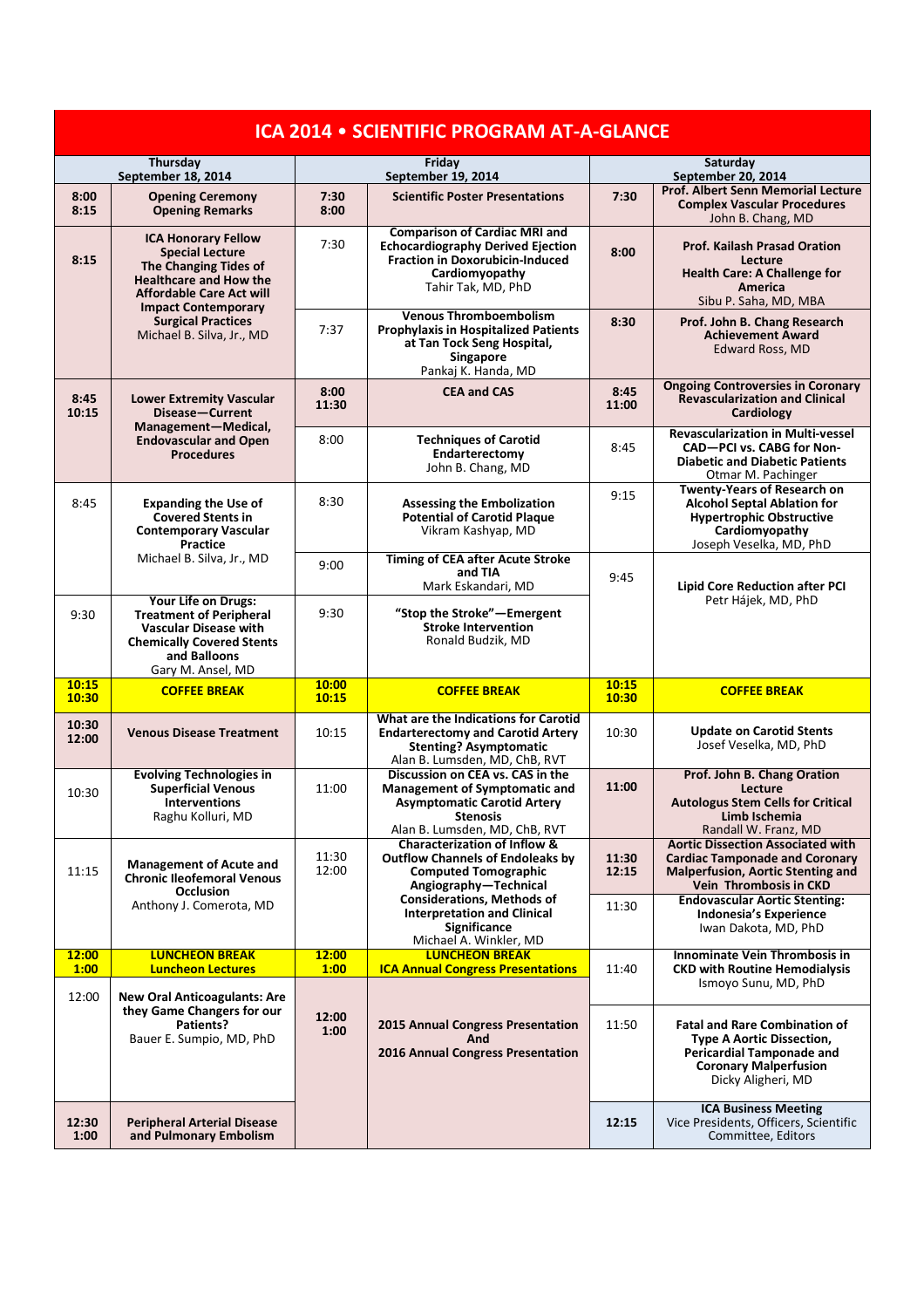| <b>ICA 2014 • SCIENTIFIC PROGRAM AT-A-GLANCE</b> |                                                                                                                                                                                 |                              |                                                                                                                                                                    |                                |                                                                                                                                                                                            |  |  |  |
|--------------------------------------------------|---------------------------------------------------------------------------------------------------------------------------------------------------------------------------------|------------------------------|--------------------------------------------------------------------------------------------------------------------------------------------------------------------|--------------------------------|--------------------------------------------------------------------------------------------------------------------------------------------------------------------------------------------|--|--|--|
| Thursday<br>September 18, 2014                   |                                                                                                                                                                                 | Friday<br>September 19, 2014 |                                                                                                                                                                    | Saturday<br>September 20, 2014 |                                                                                                                                                                                            |  |  |  |
| 8:00<br>8:15                                     | <b>Opening Ceremony</b><br><b>Opening Remarks</b>                                                                                                                               | 7:30<br>8:00                 | <b>Scientific Poster Presentations</b>                                                                                                                             | 7:30                           | Prof. Albert Senn Memorial Lecture<br><b>Complex Vascular Procedures</b><br>John B. Chang, MD                                                                                              |  |  |  |
| 8:15                                             | <b>ICA Honorary Fellow</b><br><b>Special Lecture</b><br>The Changing Tides of<br><b>Healthcare and How the</b><br><b>Affordable Care Act will</b><br><b>Impact Contemporary</b> | 7:30                         | <b>Comparison of Cardiac MRI and</b><br><b>Echocardiography Derived Ejection</b><br><b>Fraction in Doxorubicin-Induced</b><br>Cardiomyopathy<br>Tahir Tak, MD, PhD | 8:00                           | <b>Prof. Kailash Prasad Oration</b><br>Lecture<br><b>Health Care: A Challenge for</b><br>America<br>Sibu P. Saha, MD, MBA                                                                  |  |  |  |
|                                                  | <b>Surgical Practices</b><br>Michael B. Silva, Jr., MD                                                                                                                          | 7:37                         | <b>Venous Thromboembolism</b><br><b>Prophylaxis in Hospitalized Patients</b><br>at Tan Tock Seng Hospital,<br>Singapore<br>Pankaj K. Handa, MD                     | 8:30                           | Prof. John B. Chang Research<br><b>Achievement Award</b><br><b>Edward Ross, MD</b>                                                                                                         |  |  |  |
| 8:45<br>10:15                                    | <b>Lower Extremity Vascular</b><br>Disease-Current                                                                                                                              | 8:00<br>11:30                | <b>CEA and CAS</b>                                                                                                                                                 | 8:45<br>11:00                  | <b>Ongoing Controversies in Coronary</b><br><b>Revascularization and Clinical</b><br><b>Cardiology</b>                                                                                     |  |  |  |
|                                                  | Management-Medical,<br><b>Endovascular and Open</b><br><b>Procedures</b>                                                                                                        | 8:00                         | <b>Techniques of Carotid</b><br>Endarterectomy<br>John B. Chang, MD                                                                                                | 8:45                           | <b>Revascularization in Multi-vessel</b><br>CAD-PCI vs. CABG for Non-<br><b>Diabetic and Diabetic Patients</b><br>Otmar M. Pachinger                                                       |  |  |  |
| 8:45                                             | <b>Expanding the Use of</b><br><b>Covered Stents in</b><br><b>Contemporary Vascular</b><br><b>Practice</b>                                                                      | 8:30                         | <b>Assessing the Embolization</b><br><b>Potential of Carotid Plaque</b><br>Vikram Kashyap, MD                                                                      | 9:15                           | <b>Twenty-Years of Research on</b><br><b>Alcohol Septal Ablation for</b><br><b>Hypertrophic Obstructive</b><br>Cardiomyopathy<br>Joseph Veselka, MD, PhD                                   |  |  |  |
|                                                  | Michael B. Silva, Jr., MD                                                                                                                                                       | 9:00                         | <b>Timing of CEA after Acute Stroke</b><br>and TIA<br>Mark Eskandari, MD                                                                                           | 9:45                           | <b>Lipid Core Reduction after PCI</b>                                                                                                                                                      |  |  |  |
| 9:30                                             | Your Life on Drugs:<br><b>Treatment of Peripheral</b><br><b>Vascular Disease with</b><br><b>Chemically Covered Stents</b><br>and Balloons<br>Gary M. Ansel, MD                  | 9:30                         | "Stop the Stroke"-Emergent<br><b>Stroke Intervention</b><br>Ronald Budzik, MD                                                                                      |                                | Petr Hájek, MD, PhD                                                                                                                                                                        |  |  |  |
| 10:15<br>10:30                                   | <b>COFFEE BREAK</b>                                                                                                                                                             | 10:00<br>10:15               | <b>COFFEE BREAK</b>                                                                                                                                                | 10:15<br>10:30                 | <b>COFFEE BREAK</b>                                                                                                                                                                        |  |  |  |
| 10:30<br>12:00                                   | <b>Venous Disease Treatment</b>                                                                                                                                                 | 10:15                        | What are the Indications for Carotid<br><b>Endarterectomy and Carotid Artery</b><br><b>Stenting? Asymptomatic</b><br>Alan B. Lumsden, MD, ChB, RVT                 | 10:30                          | <b>Update on Carotid Stents</b><br>Josef Veselka, MD, PhD                                                                                                                                  |  |  |  |
| 10:30                                            | <b>Evolving Technologies in</b><br><b>Superficial Venous</b><br><b>Interventions</b><br>Raghu Kolluri, MD                                                                       | 11:00                        | Discussion on CEA vs. CAS in the<br><b>Management of Symptomatic and</b><br><b>Asymptomatic Carotid Artery</b><br><b>Stenosis</b><br>Alan B. Lumsden, MD, ChB, RVT | 11:00                          | Prof. John B. Chang Oration<br>Lecture<br><b>Autologus Stem Cells for Critical</b><br>Limb Ischemia<br>Randall W. Franz, MD                                                                |  |  |  |
| 11:15                                            | <b>Management of Acute and</b><br><b>Chronic Ileofemoral Venous</b><br><b>Occlusion</b><br>Anthony J. Comerota, MD                                                              | 11:30<br>12:00               | <b>Characterization of Inflow &amp;</b><br><b>Outflow Channels of Endoleaks by</b><br><b>Computed Tomographic</b><br>Angiography-Technical                         | 11:30<br>12:15                 | <b>Aortic Dissection Associated with</b><br><b>Cardiac Tamponade and Coronary</b><br><b>Malperfusion, Aortic Stenting and</b><br>Vein Thrombosis in CKD                                    |  |  |  |
|                                                  |                                                                                                                                                                                 |                              | <b>Considerations, Methods of</b><br><b>Interpretation and Clinical</b><br><b>Significance</b><br>Michael A. Winkler, MD                                           | 11:30                          | <b>Endovascular Aortic Stenting:</b><br><b>Indonesia's Experience</b><br>Iwan Dakota, MD, PhD                                                                                              |  |  |  |
| 12:00<br>1:00                                    | <b>LUNCHEON BREAK</b><br><b>Luncheon Lectures</b>                                                                                                                               | 12:00<br>1:00                | <b>LUNCHEON BREAK</b><br><b>ICA Annual Congress Presentations</b>                                                                                                  | 11:40                          | <b>Innominate Vein Thrombosis in</b><br><b>CKD with Routine Hemodialysis</b>                                                                                                               |  |  |  |
| 12:00                                            | <b>New Oral Anticoagulants: Are</b><br>they Game Changers for our<br>Patients?<br>Bauer E. Sumpio, MD, PhD                                                                      | 12:00<br>1:00                | 2015 Annual Congress Presentation<br>And<br>2016 Annual Congress Presentation                                                                                      | 11:50                          | Ismoyo Sunu, MD, PhD<br><b>Fatal and Rare Combination of</b><br><b>Type A Aortic Dissection,</b><br><b>Pericardial Tamponade and</b><br><b>Coronary Malperfusion</b><br>Dicky Aligheri, MD |  |  |  |
| 12:30<br>1:00                                    | <b>Peripheral Arterial Disease</b><br>and Pulmonary Embolism                                                                                                                    |                              |                                                                                                                                                                    | 12:15                          | <b>ICA Business Meeting</b><br>Vice Presidents, Officers, Scientific<br>Committee, Editors                                                                                                 |  |  |  |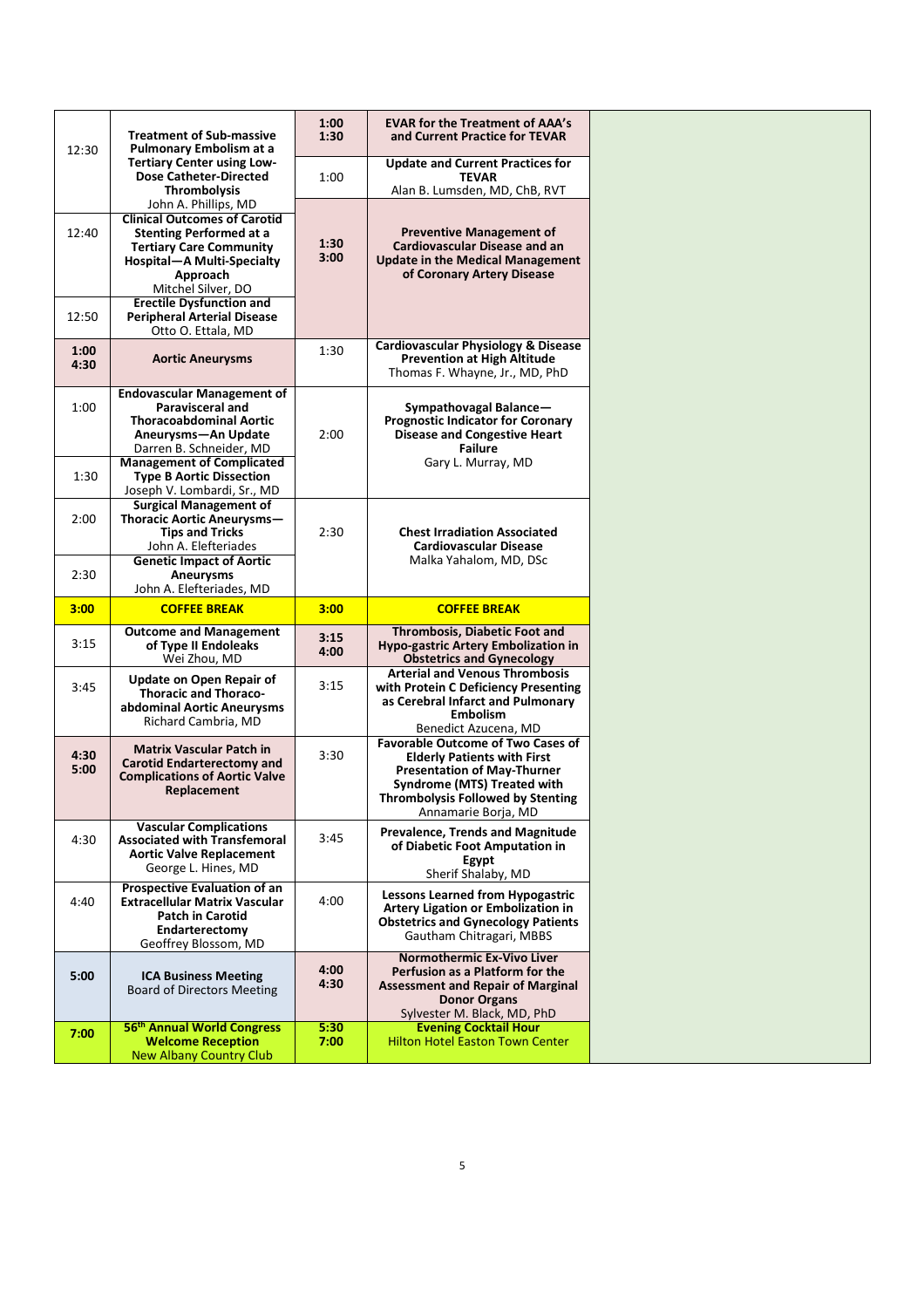| 12:30        | <b>Treatment of Sub-massive</b><br>Pulmonary Embolism at a<br><b>Tertiary Center using Low-</b><br><b>Dose Catheter-Directed</b><br><b>Thrombolysis</b>                                                                            | 1:00<br>1:30         | <b>EVAR for the Treatment of AAA's</b><br>and Current Practice for TEVAR                                                                                                                                                      |
|--------------|------------------------------------------------------------------------------------------------------------------------------------------------------------------------------------------------------------------------------------|----------------------|-------------------------------------------------------------------------------------------------------------------------------------------------------------------------------------------------------------------------------|
|              |                                                                                                                                                                                                                                    | 1:00                 | <b>Update and Current Practices for</b><br><b>TEVAR</b><br>Alan B. Lumsden, MD, ChB, RVT                                                                                                                                      |
| 12:40        | John A. Phillips, MD<br><b>Clinical Outcomes of Carotid</b><br><b>Stenting Performed at a</b><br><b>Tertiary Care Community</b><br>Hospital-A Multi-Specialty<br>Approach<br>Mitchel Silver, DO<br><b>Erectile Dysfunction and</b> | 1:30<br>3:00         | <b>Preventive Management of</b><br><b>Cardiovascular Disease and an</b><br><b>Update in the Medical Management</b><br>of Coronary Artery Disease                                                                              |
| 12:50        | <b>Peripheral Arterial Disease</b><br>Otto O. Ettala, MD                                                                                                                                                                           |                      | <b>Cardiovascular Physiology &amp; Disease</b>                                                                                                                                                                                |
| 1:00<br>4:30 | <b>Aortic Aneurysms</b>                                                                                                                                                                                                            | 1:30                 | <b>Prevention at High Altitude</b><br>Thomas F. Whayne, Jr., MD, PhD                                                                                                                                                          |
| 1:00         | <b>Endovascular Management of</b><br><b>Paravisceral and</b><br><b>Thoracoabdominal Aortic</b><br>Aneurysms-An Update<br>Darren B. Schneider, MD<br><b>Management of Complicated</b>                                               | 2:00                 | Sympathovagal Balance-<br><b>Prognostic Indicator for Coronary</b><br><b>Disease and Congestive Heart</b><br><b>Failure</b><br>Gary L. Murray, MD                                                                             |
| 1:30         | <b>Type B Aortic Dissection</b><br>Joseph V. Lombardi, Sr., MD                                                                                                                                                                     |                      |                                                                                                                                                                                                                               |
| 2:00         | <b>Surgical Management of</b><br>Thoracic Aortic Aneurysms-<br><b>Tips and Tricks</b><br>John A. Elefteriades                                                                                                                      | 2:30                 | <b>Chest Irradiation Associated</b><br><b>Cardiovascular Disease</b>                                                                                                                                                          |
| 2:30         | <b>Genetic Impact of Aortic</b><br>Aneurysms<br>John A. Elefteriades, MD                                                                                                                                                           |                      | Malka Yahalom, MD, DSc                                                                                                                                                                                                        |
| 3:00         | <b>COFFEE BREAK</b>                                                                                                                                                                                                                | 3:00                 | <b>COFFEE BREAK</b>                                                                                                                                                                                                           |
|              |                                                                                                                                                                                                                                    |                      |                                                                                                                                                                                                                               |
| 3:15         | <b>Outcome and Management</b><br>of Type II Endoleaks<br>Wei Zhou, MD                                                                                                                                                              | 3:15<br>4:00         | Thrombosis, Diabetic Foot and<br>Hypo-gastric Artery Embolization in<br><b>Obstetrics and Gynecology</b>                                                                                                                      |
| 3:45         | Update on Open Repair of<br><b>Thoracic and Thoraco-</b><br>abdominal Aortic Aneurysms<br>Richard Cambria, MD                                                                                                                      | 3:15                 | <b>Arterial and Venous Thrombosis</b><br>with Protein C Deficiency Presenting<br>as Cerebral Infarct and Pulmonary<br><b>Embolism</b><br>Benedict Azucena, MD                                                                 |
| 4:30<br>5:00 | <b>Matrix Vascular Patch in</b><br><b>Carotid Endarterectomy and</b><br><b>Complications of Aortic Valve</b><br>Replacement                                                                                                        | 3:30                 | <b>Favorable Outcome of Two Cases of</b><br><b>Elderly Patients with First</b><br><b>Presentation of May-Thurner</b><br><b>Syndrome (MTS) Treated with</b><br><b>Thrombolysis Followed by Stenting</b><br>Annamarie Borja, MD |
| 4:30         | <b>Vascular Complications</b><br><b>Associated with Transfemoral</b><br><b>Aortic Valve Replacement</b><br>George L. Hines, MD                                                                                                     | 3:45                 | <b>Prevalence, Trends and Magnitude</b><br>of Diabetic Foot Amputation in<br>Egypt<br>Sherif Shalaby, MD                                                                                                                      |
| 4:40         | <b>Prospective Evaluation of an</b><br><b>Extracellular Matrix Vascular</b><br><b>Patch in Carotid</b><br>Endarterectomy<br>Geoffrey Blossom, MD                                                                                   | 4:00                 | <b>Lessons Learned from Hypogastric</b><br>Artery Ligation or Embolization in<br><b>Obstetrics and Gynecology Patients</b><br>Gautham Chitragari, MBBS                                                                        |
| 5:00         | <b>ICA Business Meeting</b><br><b>Board of Directors Meeting</b><br>56 <sup>th</sup> Annual World Congress                                                                                                                         | 4:00<br>4:30<br>5:30 | <b>Normothermic Ex-Vivo Liver</b><br>Perfusion as a Platform for the<br><b>Assessment and Repair of Marginal</b><br><b>Donor Organs</b><br>Sylvester M. Black, MD, PhD<br><b>Evening Cocktail Hour</b>                        |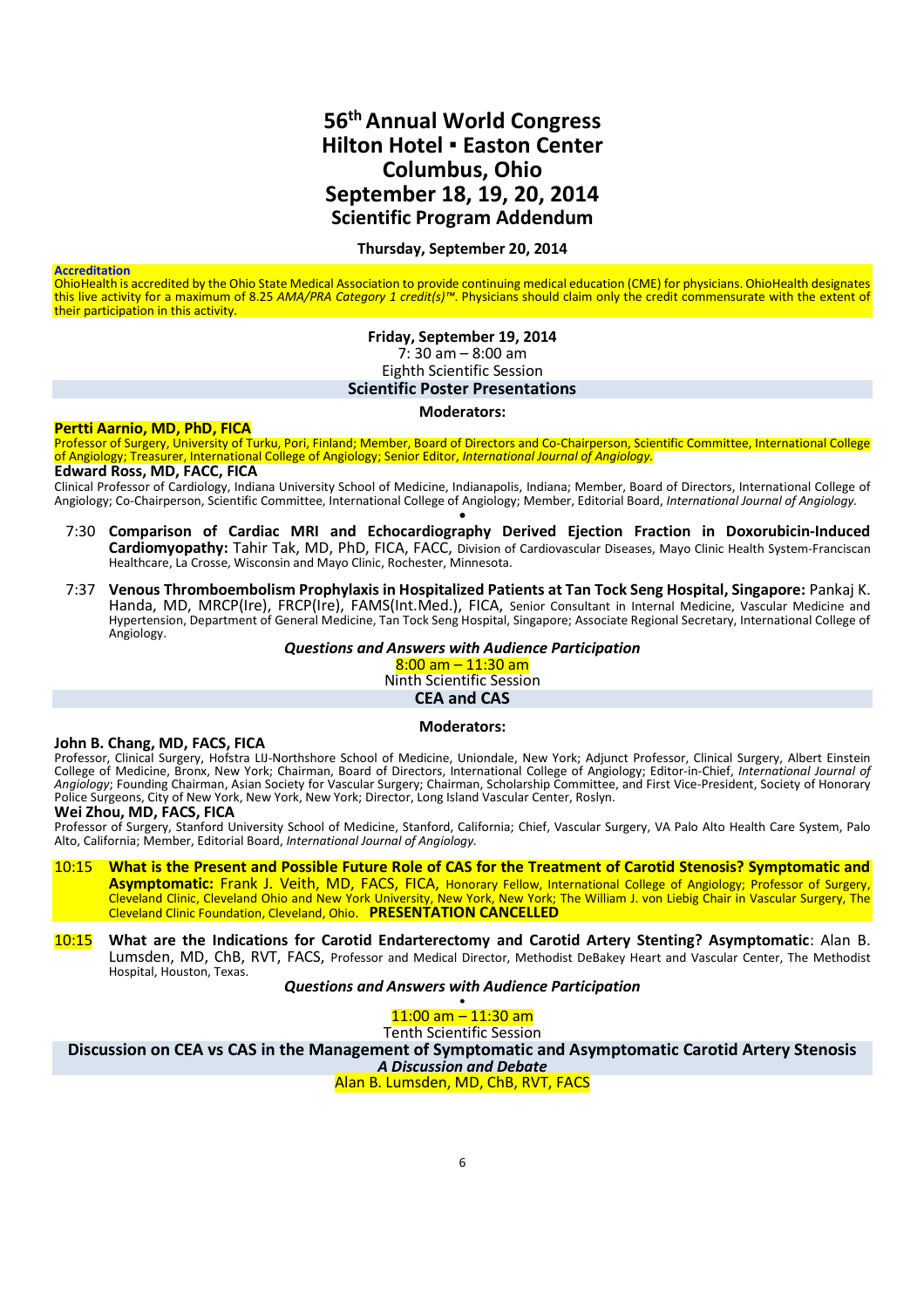## **56thAnnual World Congress Hilton Hotel ▪ Easton Center Columbus, Ohio September 18, 19, 20, 2014 Scientific Program Addendum**

#### **Thursday, September 20, 2014**

#### **Accreditation**

OhioHealth is accredited by the Ohio State Medical Association to provide continuing medical education (CME) for physicians. OhioHealth designates this live activity for a maximum of 8.25 *AMA/PRA Category 1 credit(s)™*. Physicians should claim only the credit commensurate with the extent of their participation in this activity.

#### **Friday, September 19, 2014**  $7:30 \text{ am} - 8:00 \text{ am}$ Eighth Scientific Session **Scientific Poster Presentations**

#### **Moderators:**

#### **Pertti Aarnio, MD, PhD, FICA**

Professor of Surgery, University of Turku, Pori, Finland; Member, Board of Directors and Co-Chairperson, Scientific Committee, International College of Angiology; Treasurer, International College of Angiology; Senior Editor, *International Journal of Angiology.* **Edward Ross, MD, FACC, FICA**

Clinical Professor of Cardiology, Indiana University School of Medicine, Indianapolis, Indiana; Member, Board of Directors, International College of Angiology; Co-Chairperson, Scientific Committee, International College of Angiology; Member, Editorial Board, *International Journal of Angiology.* •

- 7:30 **Comparison of Cardiac MRI and Echocardiography Derived Ejection Fraction in Doxorubicin-Induced Cardiomyopathy:** Tahir Tak, MD, PhD, FICA, FACC, Division of Cardiovascular Diseases, Mayo Clinic Health System-Franciscan Healthcare, La Crosse, Wisconsin and Mayo Clinic, Rochester, Minnesota.
- 7:37 **Venous Thromboembolism Prophylaxis in Hospitalized Patients at Tan Tock Seng Hospital, Singapore:** Pankaj K. Handa, MD, MRCP(Ire), FRCP(Ire), FAMS(Int.Med.), FICA, Senior Consultant in Internal Medicine, Vascular Medicine and Hypertension, Department of General Medicine, Tan Tock Seng Hospital, Singapore; Associate Regional Secretary, International College of Angiology.

*Questions and Answers with Audience Participation*

 $8:00$  am  $-11:30$  am Ninth Scientific Session

**CEA and CAS**

#### **Moderators:**

#### **John B. Chang, MD, FACS, FICA**

Professor, Clinical Surgery, Hofstra LIJ-Northshore School of Medicine, Uniondale, New York; Adjunct Professor, Clinical Surgery, Albert Einstein College of Medicine, Bronx, New York; Chairman, Board of Directors, International College of Angiology; Editor-in-Chief, *International Journal of Angiology*; Founding Chairman, Asian Society for Vascular Surgery; Chairman, Scholarship Committee, and First Vice-President, Society of Honorary Police Surgeons, City of New York, New York, New York; Director, Long Island Vascular Center, Roslyn.

#### **Wei Zhou, MD, FACS, FICA**

Professor of Surgery, Stanford University School of Medicine, Stanford, California; Chief, Vascular Surgery, VA Palo Alto Health Care System, Palo Alto, California; Member, Editorial Board, *International Journal of Angiology.*

10:15 **What is the Present and Possible Future Role of CAS for the Treatment of Carotid Stenosis? Symptomatic and Asymptomatic:** Frank J. Veith, MD, FACS, FICA, Honorary Fellow, International College of Angiology; Professor of Surgery, Cleveland Clinic, Cleveland Ohio and New York University, New York, New York; The William J. von Liebig Chair in Vascular Surgery, The Cleveland Clinic Foundation, Cleveland, Ohio. **PRESENTATION CANCELLED**

10:15 **What are the Indications for Carotid Endarterectomy and Carotid Artery Stenting? Asymptomatic**: Alan B. Lumsden, MD, ChB, RVT, FACS, Professor and Medical Director, Methodist DeBakey Heart and Vascular Center, The Methodist Hospital, Houston, Texas.

#### *Questions and Answers with Audience Participation*

• 11:00 am – 11:30 am

Tenth Scientific Session

**Discussion on CEA vs CAS in the Management of Symptomatic and Asymptomatic Carotid Artery Stenosis**

*A Discussion and Debate* Alan B. Lumsden, MD, ChB, RVT, FACS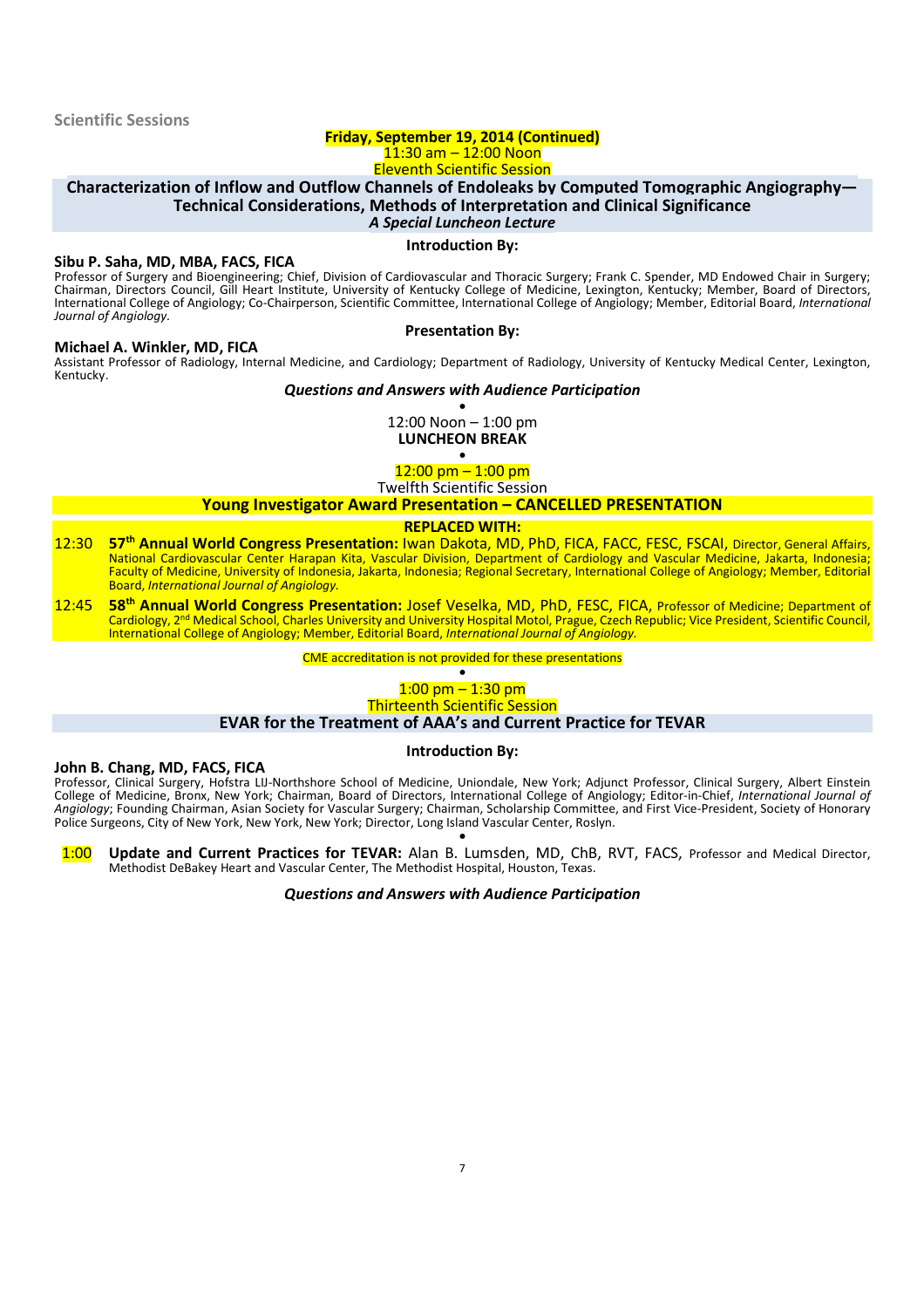### **Friday, September 19, 2014 (Continued)**  $11:30$  am  $-12:00$  Noon

Eleventh Scientific Session

## **Characterization of Inflow and Outflow Channels of Endoleaks by Computed Tomographic Angiography— Technical Considerations, Methods of Interpretation and Clinical Significance**

*A Special Luncheon Lecture* **Introduction By:**

#### **Sibu P. Saha, MD, MBA, FACS, FICA**

Professor of Surgery and Bioengineering; Chief, Division of Cardiovascular and Thoracic Surgery; Frank C. Spender, MD Endowed Chair in Surgery; Chairman, Directors Council, Gill Heart Institute, University of Kentucky College of Medicine, Lexington, Kentucky; Member, Board of Directors, International College of Angiology; Co-Chairperson, Scientific Committee, International College of Angiology; Member, Editorial Board, *International Journal of Angiology.*

**Presentation By:**

#### **Michael A. Winkler, MD, FICA**

Assistant Professor of Radiology, Internal Medicine, and Cardiology; Department of Radiology, University of Kentucky Medical Center, Lexington, Kentucky.

#### *Questions and Answers with Audience Participation*

• 12:00 Noon – 1:00 pm **LUNCHEON BREAK**

•  $12:00$  pm  $-1:00$  pm

Twelfth Scientific Session

#### **Young Investigator Award Presentation – CANCELLED PRESENTATION**

#### **REPLACED WITH:**

- 12:30 **57th Annual World Congress Presentation:** Iwan Dakota, MD, PhD, FICA, FACC, FESC, FSCAI, Director, General Affairs, National Cardiovascular Center Harapan Kita, Vascular Division, Department of Cardiology and Vascular Medicine, Jakarta, Indonesia; Faculty of Medicine, University of Indonesia, Jakarta, Indonesia; Regional Secretary, International College of Angiology; Member, Editorial Board, *International Journal of Angiology.*
- 12:45 **58th Annual World Congress Presentation:** Josef Veselka, MD, PhD, FESC, FICA, Professor of Medicine; Department of Cardiology, 2nd Medical School, Charles University and University Hospital Motol, Prague, Czech Republic; Vice President, Scientific Council, International College of Angiology; Member, Editorial Board, *International Journal of Angiology.*

#### CME accreditation is not provided for these presentations

#### • 1:00 pm – 1:30 pm Thirteenth Scientific Session

#### **EVAR for the Treatment of AAA's and Current Practice for TEVAR**

#### **Introduction By:**

## **John B. Chang, MD, FACS, FICA**

Professor, Clinical Surgery, Hofstra LIJ-Northshore School of Medicine, Uniondale, New York; Adjunct Professor, Clinical Surgery, Albert Einstein College of Medicine, Bronx, New York; Chairman, Board of Directors, International College of Angiology; Editor-in-Chief, *International Journal of Angiology*; Founding Chairman, Asian Society for Vascular Surgery; Chairman, Scholarship Committee, and First Vice-President, Society of Honorary Police Surgeons, City of New York, New York, New York; Director, Long Island Vascular Center, Roslyn. •

1:00 **Update and Current Practices for TEVAR:** Alan B. Lumsden, MD, ChB, RVT, FACS, Professor and Medical Director, Methodist DeBakey Heart and Vascular Center, The Methodist Hospital, Houston, Texas.

#### *Questions and Answers with Audience Participation*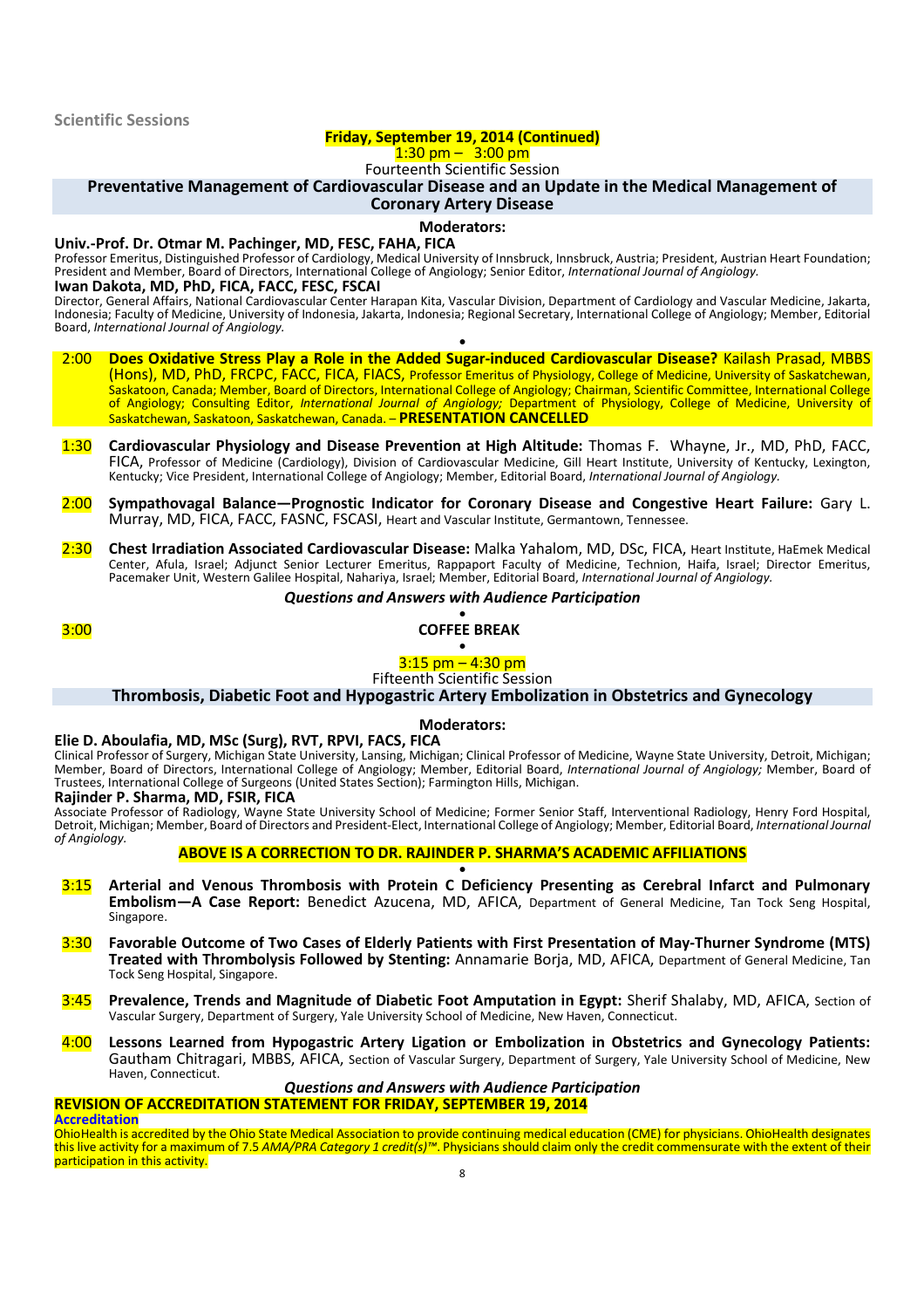#### **Friday, September 19, 2014 (Continued)**

### $1:30 \text{ pm} - 3:00 \text{ pm}$

Fourteenth Scientific Session

**Preventative Management of Cardiovascular Disease and an Update in the Medical Management of**

## **Coronary Artery Disease**

#### **Moderators:**

#### **Univ.-Prof. Dr. Otmar M. Pachinger, MD, FESC, FAHA, FICA**

Professor Emeritus, Distinguished Professor of Cardiology, Medical University of Innsbruck, Innsbruck, Austria; President, Austrian Heart Foundation; President and Member, Board of Directors, International College of Angiology; Senior Editor, *International Journal of Angiology.* **Iwan Dakota, MD, PhD, FICA, FACC, FESC, FSCAI**

Director, General Affairs, National Cardiovascular Center Harapan Kita, Vascular Division, Department of Cardiology and Vascular Medicine, Jakarta, Indonesia; Faculty of Medicine, University of Indonesia, Jakarta, Indonesia; Regional Secretary, International College of Angiology; Member, Editorial Board, *International Journal of Angiology.* •

- 2:00 **Does Oxidative Stress Play a Role in the Added Sugar-induced Cardiovascular Disease?** Kailash Prasad, MBBS (Hons), MD, PhD, FRCPC, FACC, FICA, FIACS, Professor Emeritus of Physiology, College of Medicine, University of Saskatchewan, Saskatoon, Canada; Member, Board of Directors, International College of Angiology; Chairman, Scientific Committee, International College of Angiology; Consulting Editor, *International Journal of Angiology;* Department of Physiology, College of Medicine, University of Saskatchewan, Saskatoon, Saskatchewan, Canada. – **PRESENTATION CANCELLED**
- 1:30 **Cardiovascular Physiology and Disease Prevention at High Altitude:** Thomas F. Whayne, Jr., MD, PhD, FACC, FICA, Professor of Medicine (Cardiology), Division of Cardiovascular Medicine, Gill Heart Institute, University of Kentucky, Lexington, Kentucky; Vice President, International College of Angiology; Member, Editorial Board, *International Journal of Angiology.*
- 2:00 **Sympathovagal Balance—Prognostic Indicator for Coronary Disease and Congestive Heart Failure:** Gary L. Murray, MD, FICA, FACC, FASNC, FSCASI, Heart and Vascular Institute, Germantown, Tennessee.
- 2:30 **Chest Irradiation Associated Cardiovascular Disease:** Malka Yahalom, MD, DSc, FICA, Heart Institute, HaEmek Medical Center, Afula, Israel; Adjunct Senior Lecturer Emeritus, Rappaport Faculty of Medicine, Technion, Haifa, Israel; Director Emeritus, Pacemaker Unit, Western Galilee Hospital, Nahariya, Israel; Member, Editorial Board, *International Journal of Angiology.*

#### *Questions and Answers with Audience Participation*

#### • 3:00 **COFFEE BREAK**

#### • 3:15 pm – 4:30 pm

Fifteenth Scientific Session

#### **Thrombosis, Diabetic Foot and Hypogastric Artery Embolization in Obstetrics and Gynecology**

#### **Moderators:**

#### **Elie D. Aboulafia, MD, MSc (Surg), RVT, RPVI, FACS, FICA**

Clinical Professor of Surgery, Michigan State University, Lansing, Michigan; Clinical Professor of Medicine, Wayne State University, Detroit, Michigan; Member, Board of Directors, International College of Angiology; Member, Editorial Board, *International Journal of Angiology;* Member, Board of Trustees, International College of Surgeons (United States Section); Farmington Hills, Michigan.

#### **Rajinder P. Sharma, MD, FSIR, FICA**

Associate Professor of Radiology, Wayne State University School of Medicine; Former Senior Staff, Interventional Radiology, Henry Ford Hospital, Detroit, Michigan; Member, Board of Directors and President-Elect, International College of Angiology; Member, Editorial Board, *International Journal of Angiology.*

#### **ABOVE IS A CORRECTION TO DR. RAJINDER P. SHARMA'S ACADEMIC AFFILIATIONS**

- 3:15 **Arterial and Venous Thrombosis with Protein C Deficiency Presenting as Cerebral Infarct and Pulmonary Embolism—A Case Report:** Benedict Azucena, MD, AFICA, Department of General Medicine, Tan Tock Seng Hospital, Singapore.
- 3:30 **Favorable Outcome of Two Cases of Elderly Patients with First Presentation of May-Thurner Syndrome (MTS) Treated with Thrombolysis Followed by Stenting:** Annamarie Borja, MD, AFICA, Department of General Medicine, Tan Tock Seng Hospital, Singapore.
- 3:45 **Prevalence, Trends and Magnitude of Diabetic Foot Amputation in Egypt:** Sherif Shalaby, MD, AFICA, Section of Vascular Surgery, Department of Surgery, Yale University School of Medicine, New Haven, Connecticut.
- 4:00 **Lessons Learned from Hypogastric Artery Ligation or Embolization in Obstetrics and Gynecology Patients:** Gautham Chitragari, MBBS, AFICA, Section of Vascular Surgery, Department of Surgery, Yale University School of Medicine, New Haven, Connecticut.

#### *Questions and Answers with Audience Participation* **REVISION OF ACCREDITATION STATEMENT FOR FRIDAY, SEPTEMBER 19, 2014**

**Accreditation**

OhioHealth is accredited by the Ohio State Medical Association to provide continuing medical education (CME) for physicians. OhioHealth designates this live activity for a maximum of 7.5 *AMA/PRA Category 1 credit(s)™*. Physicians should claim only the credit commensurate with the extent of their participation in this activity.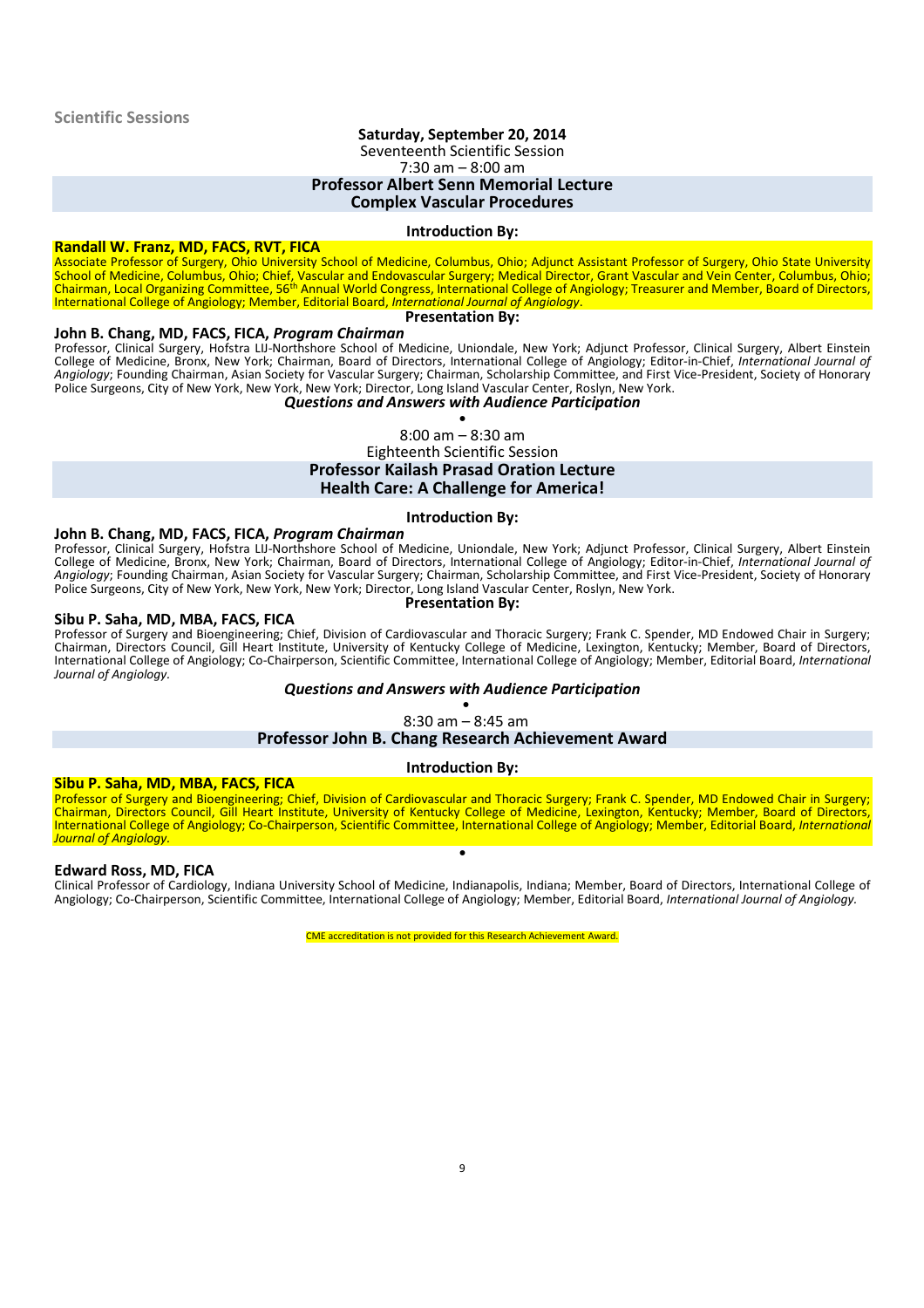## **Saturday, September 20, 2014**

Seventeenth Scientific Session

7:30 am – 8:00 am

#### **Professor Albert Senn Memorial Lecture**

#### **Complex Vascular Procedures**

#### **Introduction By:**

#### **Randall W. Franz, MD, FACS, RVT, FICA**

Associate Professor of Surgery, Ohio University School of Medicine, Columbus, Ohio; Adjunct Assistant Professor of Surgery, Ohio State University School of Medicine, Columbus, Ohio; Chief, Vascular and Endovascular Surgery; Medical Director, Grant Vascular and Vein Center, Columbus, Ohio;<br>Chairman, Local Organizing Committee, 56<sup>th</sup> Annual World Congress, Internatio International College of Angiology; Member, Editorial Board, *International Journal of Angiology*.

#### **Presentation By:**

#### **John B. Chang, MD, FACS, FICA,** *Program Chairman*

Professor, Clinical Surgery, Hofstra LIJ-Northshore School of Medicine, Uniondale, New York; Adjunct Professor, Clinical Surgery, Albert Einstein College of Medicine, Bronx, New York; Chairman, Board of Directors, International College of Angiology; Editor-in-Chief, *International Journal of Angiology*; Founding Chairman, Asian Society for Vascular Surgery; Chairman, Scholarship Committee, and First Vice-President, Society of Honorary Police Surgeons, City of New York, New York, New York; Director, Long Island Vascular Center, Roslyn, New York.

#### *Questions and Answers with Audience Participation*

• 8:00 am – 8:30 am

#### Eighteenth Scientific Session **Professor Kailash Prasad Oration Lecture Health Care: A Challenge for America!**

#### **Introduction By:**

#### **John B. Chang, MD, FACS, FICA,** *Program Chairman*

Professor, Clinical Surgery, Hofstra LIJ-Northshore School of Medicine, Uniondale, New York; Adjunct Professor, Clinical Surgery, Albert Einstein College of Medicine, Bronx, New York; Chairman, Board of Directors, International College of Angiology; Editor-in-Chief, *International Journal of Angiology*; Founding Chairman, Asian Society for Vascular Surgery; Chairman, Scholarship Committee, and First Vice-President, Society of Honorary Police Surgeons, City of New York, New York, New York; Director, Long Island Vascular Center, Roslyn, New York. **Presentation By:**

#### **Sibu P. Saha, MD, MBA, FACS, FICA**

Professor of Surgery and Bioengineering; Chief, Division of Cardiovascular and Thoracic Surgery; Frank C. Spender, MD Endowed Chair in Surgery; Chairman, Directors Council, Gill Heart Institute, University of Kentucky College of Medicine, Lexington, Kentucky; Member, Board of Directors, International College of Angiology; Co-Chairperson, Scientific Committee, International College of Angiology; Member, Editorial Board, *International Journal of Angiology.*

#### *Questions and Answers with Audience Participation*

• 8:30 am – 8:45 am

#### **Professor John B. Chang Research Achievement Award**

#### **Introduction By:**

#### **Sibu P. Saha, MD, MBA, FACS, FICA**

Professor of Surgery and Bioengineering; Chief, Division of Cardiovascular and Thoracic Surgery; Frank C. Spender, MD Endowed Chair in Surgery; Chairman, Directors Council, Gill Heart Institute, University of Kentucky College of Medicine, Lexington, Kentucky; Member, Board of Directors, International College of Angiology; Co-Chairperson, Scientific Committee, International College of Angiology; Member, Editorial Board, *International Journal of Angiology.* •

#### **Edward Ross, MD, FICA**

Clinical Professor of Cardiology, Indiana University School of Medicine, Indianapolis, Indiana; Member, Board of Directors, International College of Angiology; Co-Chairperson, Scientific Committee, International College of Angiology; Member, Editorial Board, *International Journal of Angiology.*

CME accreditation is not provided for this Research Achievement Award.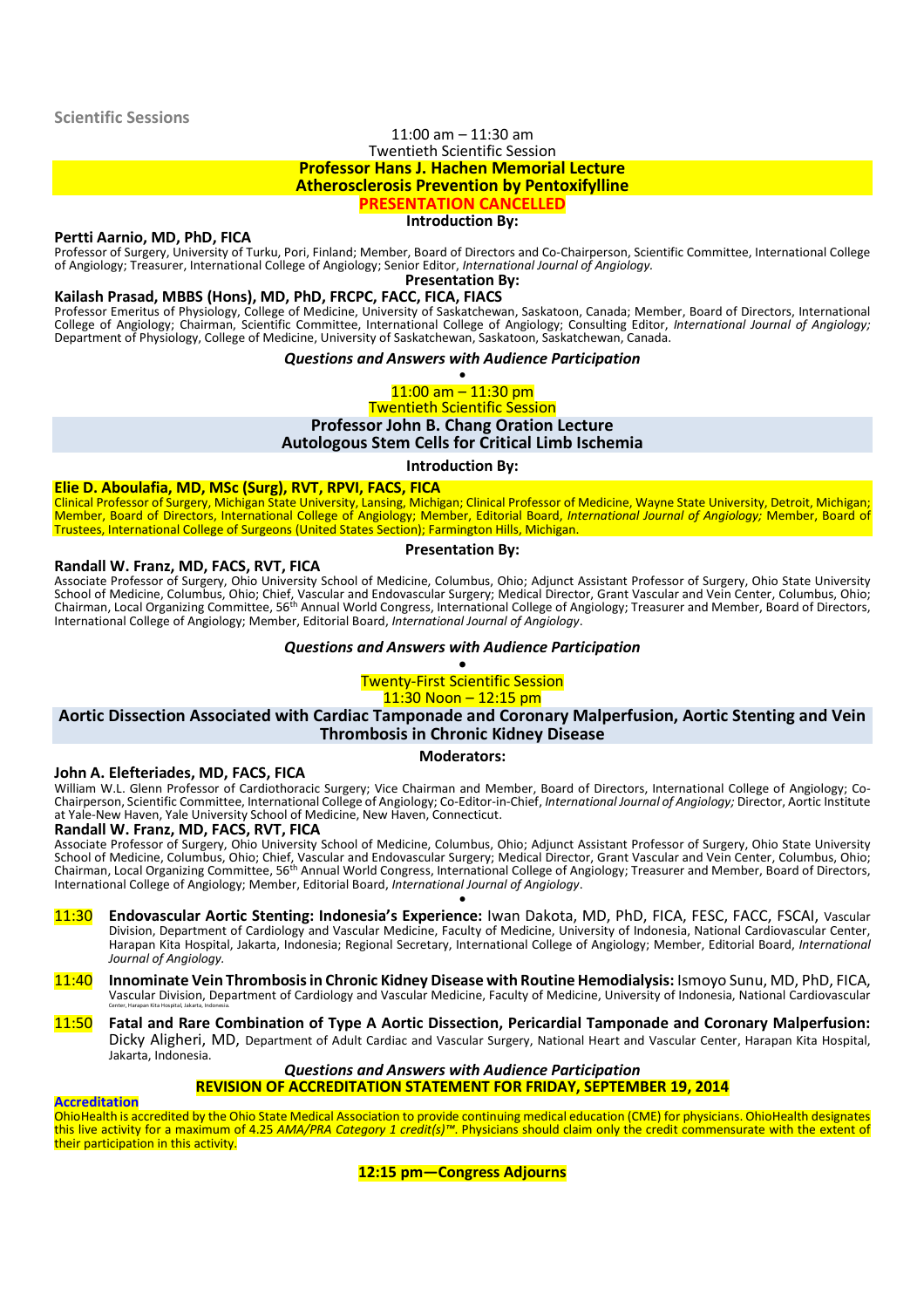#### **Scientific Sessions**

#### 11:00 am – 11:30 am Twentieth Scientific Session **Professor Hans J. Hachen Memorial Lecture Atherosclerosis Prevention by Pentoxifylline PRESENTATION CANCELLED**

#### **Introduction By:**

#### **Pertti Aarnio, MD, PhD, FICA**

Professor of Surgery, University of Turku, Pori, Finland; Member, Board of Directors and Co-Chairperson, Scientific Committee, International College of Angiology; Treasurer, International College of Angiology; Senior Editor, *International Journal of Angiology.*

**Presentation By:**

#### **Kailash Prasad, MBBS (Hons), MD, PhD, FRCPC, FACC, FICA, FIACS**

Professor Emeritus of Physiology, College of Medicine, University of Saskatchewan, Saskatoon, Canada; Member, Board of Directors, International College of Angiology; Chairman, Scientific Committee, International College of Angiology; Consulting Editor, *International Journal of Angiology;* Department of Physiology, College of Medicine, University of Saskatchewan, Saskatoon, Saskatchewan, Canada.

#### *Questions and Answers with Audience Participation*

•  $11:00$  am  $-11:30$  pm

Twentieth Scientific Session

#### **Professor John B. Chang Oration Lecture**

**Autologous Stem Cells for Critical Limb Ischemia**

**Introduction By:**

#### **Elie D. Aboulafia, MD, MSc (Surg), RVT, RPVI, FACS, FICA**

Clinical Professor of Surgery, Michigan State University, Lansing, Michigan; Clinical Professor of Medicine, Wayne State University, Detroit, Michigan; Member, Board of Directors, International College of Angiology; Member, Editorial Board, *International Journal of Angiology;* Member, Board of Trustees, International College of Surgeons (United States Section); Farmington Hills, Michigan.

#### **Presentation By:**

**Randall W. Franz, MD, FACS, RVT, FICA**

Associate Professor of Surgery, Ohio University School of Medicine, Columbus, Ohio; Adjunct Assistant Professor of Surgery, Ohio State University School of Medicine, Columbus, Ohio; Chief, Vascular and Endovascular Surgery; Medical Director, Grant Vascular and Vein Center, Columbus, Ohio; Chairman, Local Organizing Committee, 56<sup>th</sup> Annual World Congress, International College of Angiology; Treasurer and Member, Board of Directors, International College of Angiology; Member, Editorial Board, *International Journal of Angiology*.

#### *Questions and Answers with Audience Participation*

#### **•** Twenty-First Scientific Session

11:30 Noon – 12:15 pm

#### **Aortic Dissection Associated with Cardiac Tamponade and Coronary Malperfusion, Aortic Stenting and Vein Thrombosis in Chronic Kidney Disease**

#### **Moderators:**

#### **John A. Elefteriades, MD, FACS, FICA**

William W.L. Glenn Professor of Cardiothoracic Surgery; Vice Chairman and Member, Board of Directors, International College of Angiology; Co-Chairperson, Scientific Committee, International College of Angiology; Co-Editor-in-Chief, *International Journal of Angiology;* Director, Aortic Institute at Yale-New Haven, Yale University School of Medicine, New Haven, Connecticut.

#### **Randall W. Franz, MD, FACS, RVT, FICA**

Associate Professor of Surgery, Ohio University School of Medicine, Columbus, Ohio; Adjunct Assistant Professor of Surgery, Ohio State University School of Medicine, Columbus, Ohio; Chief, Vascular and Endovascular Surgery; Medical Director, Grant Vascular and Vein Center, Columbus, Ohio;<br>Chairman, Local Organizing Committee, 56<sup>th</sup> Annual World Congress, Internatio International College of Angiology; Member, Editorial Board, *International Journal of Angiology*. •

- 11:30 **Endovascular Aortic Stenting: Indonesia's Experience:** Iwan Dakota, MD, PhD, FICA, FESC, FACC, FSCAI, Vascular Division, Department of Cardiology and Vascular Medicine, Faculty of Medicine, University of Indonesia, National Cardiovascular Center, Harapan Kita Hospital, Jakarta, Indonesia; Regional Secretary, International College of Angiology; Member, Editorial Board, *International Journal of Angiology.*
- 11:40 **Innominate Vein Thrombosis in Chronic Kidney Disease with Routine Hemodialysis:** Ismoyo Sunu, MD, PhD, FICA, Vascular Division, Department of Cardiology and Vascular Medicine, Faculty of Medicine, University of Indonesia, National Cardiovascular Center, Harapan Kita Hospital, Jakarta, Indonesia.
- 11:50 **Fatal and Rare Combination of Type A Aortic Dissection, Pericardial Tamponade and Coronary Malperfusion:** Dicky Aligheri, MD, Department of Adult Cardiac and Vascular Surgery, National Heart and Vascular Center, Harapan Kita Hospital, Jakarta, Indonesia.

#### *Questions and Answers with Audience Participation* **REVISION OF ACCREDITATION STATEMENT FOR FRIDAY, SEPTEMBER 19, 2014**

**Accreditation**

OhioHealth is accredited by the Ohio State Medical Association to provide continuing medical education (CME) for physicians. OhioHealth designates this live activity for a maximum of 4.25 *AMA/PRA Category 1 credit(s)™*. Physicians should claim only the credit commensurate with the extent of their participation in this activity.

**12:15 pm—Congress Adjourns**